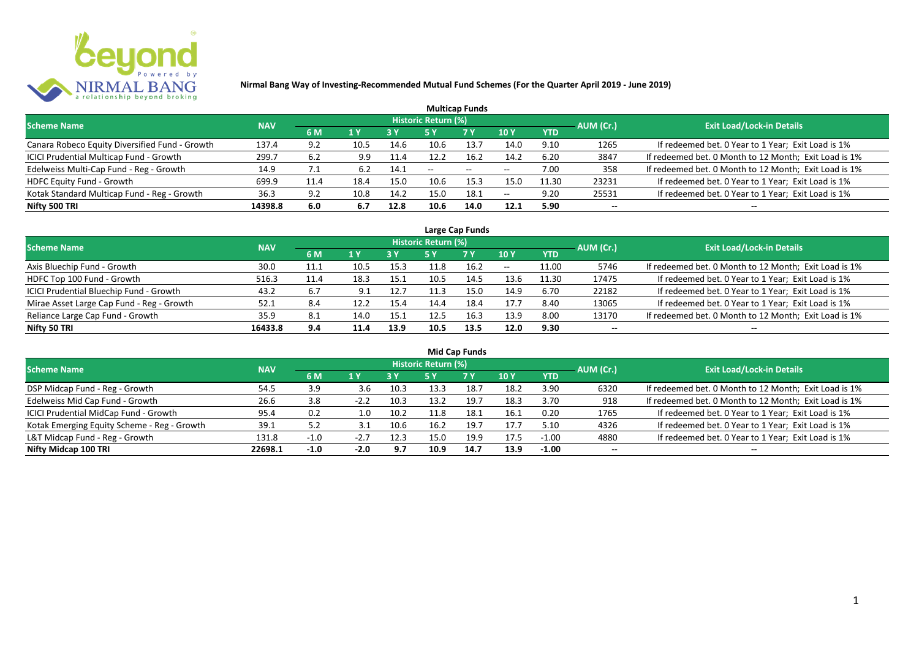

|                                                |            |      |      |            |                     | <b>Multicap Funds</b>    |                          |            |           |                                                       |
|------------------------------------------------|------------|------|------|------------|---------------------|--------------------------|--------------------------|------------|-----------|-------------------------------------------------------|
| <b>Scheme Name</b>                             | <b>NAV</b> |      |      |            | Historic Return (%) |                          |                          |            | AUM (Cr.) | <b>Exit Load/Lock-in Details</b>                      |
|                                                |            | 6 M  | 1 Y  | <b>3 Y</b> |                     | <b>7Y</b>                | <b>10Y</b>               | <b>YTD</b> |           |                                                       |
| Canara Robeco Equity Diversified Fund - Growth | 137.4      | 9.2  | 10.5 | 14.6       | 10.6                | 13.7                     | 14.0                     | 9.10       | 1265      | If redeemed bet. 0 Year to 1 Year; Exit Load is 1%    |
| ICICI Prudential Multicap Fund - Growth        | 299.7      | 6.2  | 9.9  | 11.4       | 12.2                | 16.2                     | 14.2                     | 6.20       | 3847      | If redeemed bet. 0 Month to 12 Month; Exit Load is 1% |
| Edelweiss Multi-Cap Fund - Reg - Growth        | 14.9       | 1.1  | 6.2  | 14.1       | $- -$               | $\overline{\phantom{a}}$ | $\overline{\phantom{m}}$ | 7.00       | 358       | If redeemed bet. 0 Month to 12 Month; Exit Load is 1% |
| HDFC Equity Fund - Growth                      | 699.9      | 11.4 | 18.4 | 15.0       | 10.6                | 15.3                     | 15.C                     | 11.30      | 23231     | If redeemed bet. 0 Year to 1 Year; Exit Load is 1%    |
| Kotak Standard Multicap Fund - Reg - Growth    | 36.3       | 9.2  | 10.8 | 14.2       | 15.0                | 18.1                     | $-$                      | 9.20       | 25531     | If redeemed bet. 0 Year to 1 Year; Exit Load is 1%    |
| Nifty 500 TRI                                  | 14398.8    | 6.0  | 6.7  | 12.8       | 10.6                | 14.0                     | 12.1                     | 5.90       | $- -$     | --                                                    |

| Large Cap Funds                           |            |      |                  |      |                     |           |            |            |           |                                                       |  |  |  |
|-------------------------------------------|------------|------|------------------|------|---------------------|-----------|------------|------------|-----------|-------------------------------------------------------|--|--|--|
| Scheme Name                               | <b>NAV</b> |      |                  |      | Historic Return (%) |           |            |            | AUM (Cr.) | <b>Exit Load/Lock-in Details</b>                      |  |  |  |
|                                           |            | 6 M  | $\overline{1}$ Y |      | 5 Y                 | <b>7Y</b> | <b>10Y</b> | <b>YTD</b> |           |                                                       |  |  |  |
| Axis Bluechip Fund - Growth               | 30.0       | 11.1 | 10.5             | 15.3 |                     | 16.2      | $- -$      | 11.00      | 5746      | If redeemed bet. 0 Month to 12 Month; Exit Load is 1% |  |  |  |
| HDFC Top 100 Fund - Growth                | 516.3      | 11.4 | 18.3             | 15.1 | 10.5                | 14.5      | 13.6       | 11.30      | 17475     | If redeemed bet. 0 Year to 1 Year; Exit Load is 1%    |  |  |  |
| ICICI Prudential Bluechip Fund - Growth   | 43.2       | 6.7  |                  | 12.7 |                     | 15.0      | 14.9       | 6.70       | 22182     | If redeemed bet. 0 Year to 1 Year; Exit Load is 1%    |  |  |  |
| Mirae Asset Large Cap Fund - Reg - Growth | 52.1       | 8.4  | 12.2             | 15.4 | 14.4                | 18.4      | 17.7       | 8.40       | 13065     | If redeemed bet. 0 Year to 1 Year; Exit Load is 1%    |  |  |  |
| Reliance Large Cap Fund - Growth          | 35.9       | 8.1  | 14.0             | 15.1 | 12.5                | 16.3      | 13.9       | 8.00       | 13170     | If redeemed bet. 0 Month to 12 Month; Exit Load is 1% |  |  |  |
| Nifty 50 TRI                              | 16433.8    | 9.4  | 11.4             | 13.9 | 10.5                | 13.5      | 12.0       | 9.30       |           |                                                       |  |  |  |

| <b>Mid Cap Funds</b>                        |            |        |        |      |                            |      |      |            |                          |                                                       |  |  |  |
|---------------------------------------------|------------|--------|--------|------|----------------------------|------|------|------------|--------------------------|-------------------------------------------------------|--|--|--|
| <b>Scheme Name</b>                          | <b>NAV</b> |        |        |      | <b>Historic Return (%)</b> |      |      |            | AUM (Cr.)                | <b>Exit Load/Lock-in Details</b>                      |  |  |  |
|                                             |            | 6 M    | 71 V   | 3 Y  | 5 Y                        | 7 Y  | 10 Y | <b>YTD</b> |                          |                                                       |  |  |  |
| DSP Midcap Fund - Reg - Growth              | 54.5       | 3.9    | 3.6    | 10.3 | 13.3                       | 18.7 | 18.2 | 3.90       | 6320                     | If redeemed bet. 0 Month to 12 Month; Exit Load is 1% |  |  |  |
| Edelweiss Mid Cap Fund - Growth             | 26.6       | 3.8    |        | 10.3 | 13.2                       | 19.7 | 18.3 | 3.70       | 918                      | If redeemed bet. 0 Month to 12 Month; Exit Load is 1% |  |  |  |
| ICICI Prudential MidCap Fund - Growth       | 95.4       | 0.2    | 1.0    | 10.2 | 11.8                       | 18.1 | 16.1 | 0.20       | 1765                     | If redeemed bet. 0 Year to 1 Year; Exit Load is 1%    |  |  |  |
| Kotak Emerging Equity Scheme - Reg - Growth | 39.1       | 5.2    |        | 10.6 | 16.2                       | 19.7 | 17.7 | 5.10       | 4326                     | If redeemed bet. 0 Year to 1 Year; Exit Load is 1%    |  |  |  |
| L&T Midcap Fund - Reg - Growth              | 131.8      | $-1.0$ | $-2.7$ | 12.3 | 15.0                       | 19.9 | 17.5 | $-1.00$    | 4880                     | If redeemed bet. 0 Year to 1 Year; Exit Load is 1%    |  |  |  |
| Nifty Midcap 100 TRI                        | 22698.1    | $-1.0$ | $-2.0$ | 9.7  | 10.9                       | 14.7 | 13.9 | $-1.00$    | $\overline{\phantom{a}}$ | --                                                    |  |  |  |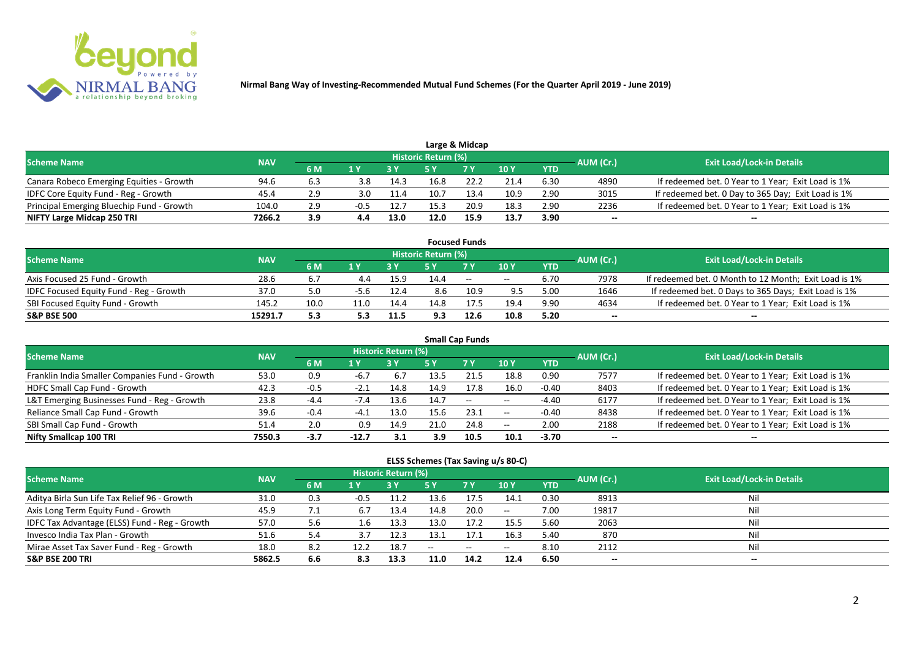

|                                           |            |     |     |      |                            | Large & Midcap |      |            |           |                                                    |
|-------------------------------------------|------------|-----|-----|------|----------------------------|----------------|------|------------|-----------|----------------------------------------------------|
| <b>Scheme Name</b>                        | <b>NAV</b> |     |     |      | <b>Historic Return (%)</b> |                |      |            | AUM (Cr.) | <b>Exit Load/Lock-in Details</b>                   |
|                                           |            | 6 M |     |      |                            | 7 Y            | 10 Y | <b>YTD</b> |           |                                                    |
| Canara Robeco Emerging Equities - Growth  | 94.6       | 6.3 | 3.8 | 14.3 | 16.8                       | 22.2           | 21.4 | 6.30       | 4890      | If redeemed bet. 0 Year to 1 Year; Exit Load is 1% |
| IDFC Core Equity Fund - Reg - Growth      | 45.4       | 2.9 | 3.0 | 11.4 | 10.7                       | 13.4           | 10.9 | 2.90       | 3015      | If redeemed bet. 0 Day to 365 Day; Exit Load is 1% |
| Principal Emerging Bluechip Fund - Growth | 104.0      | 2.9 |     | 12.7 | 15.3                       | 20.9           | 18.3 | 2.90       | 2236      | If redeemed bet. 0 Year to 1 Year; Exit Load is 1% |
| NIFTY Large Midcap 250 TRI                | 7266.2     | 3.9 |     | 13.0 | 12.0                       | 15.9           | 13.7 | 3.90       | --        | $- -$                                              |

|                                                |            |      |      |      |                     | <b>Focused Funds</b> |       |            |           |                                                       |
|------------------------------------------------|------------|------|------|------|---------------------|----------------------|-------|------------|-----------|-------------------------------------------------------|
| <b>Scheme Name</b>                             | <b>NAV</b> |      |      |      | Historic Return (%) |                      |       |            | AUM (Cr.) | <b>Exit Load/Lock-in Details</b>                      |
|                                                |            | 6 M  | 1 V  |      |                     | 7 Y                  | 10Y   | <b>YTD</b> |           |                                                       |
| Axis Focused 25 Fund - Growth                  | 28.6       | 6.7  |      | 15.9 | 14.4                | $ -$                 | $- -$ | 6.70       | 7978      | If redeemed bet. 0 Month to 12 Month; Exit Load is 1% |
| <b>IDFC Focused Equity Fund - Reg - Growth</b> | 37.0       | 5.0  | -5.6 | 12.4 | 8.6                 | 10.9                 | 9.5   | 5.00       | 1646      | If redeemed bet. 0 Days to 365 Days; Exit Load is 1%  |
| SBI Focused Equity Fund - Growth               | 145.2      | 10.0 | 11.0 | 14.4 | 14.8                | 17.5                 | 19.4  | 9.90       | 4634      | If redeemed bet. 0 Year to 1 Year; Exit Load is 1%    |
| <b>S&amp;P BSE 500</b>                         | 15291.7    | 5.3  |      | 11.5 | 9.3                 | 12.6                 | 10.8  | 5.20       | --        | --                                                    |

| <b>Small Cap Funds</b>                         |            |        |        |                     |      |           |       |            |           |                                                    |  |  |  |
|------------------------------------------------|------------|--------|--------|---------------------|------|-----------|-------|------------|-----------|----------------------------------------------------|--|--|--|
| <b>Scheme Name</b>                             | <b>NAV</b> |        |        | Historic Return (%) |      |           |       |            | AUM (Cr.) | <b>Exit Load/Lock-in Details</b>                   |  |  |  |
|                                                |            | 6 M    | 1 Y    |                     | 5 Y  | <b>7Y</b> | 10Y   | <b>YTD</b> |           |                                                    |  |  |  |
| Franklin India Smaller Companies Fund - Growth | 53.0       | 0.9    | $-6.7$ | 6.7                 | 13.5 |           | 18.8  | 0.90       | 7577      | If redeemed bet. 0 Year to 1 Year; Exit Load is 1% |  |  |  |
| HDFC Small Cap Fund - Growth                   | 42.3       | $-0.5$ | $-2.1$ | 14.8                | 14.9 | 17.8      | 16.0  | $-0.40$    | 8403      | If redeemed bet. 0 Year to 1 Year; Exit Load is 1% |  |  |  |
| L&T Emerging Businesses Fund - Reg - Growth    | 23.8       | $-4.4$ | $-7.4$ | 13.6                | 14.7 | $--$      | $- -$ | $-4.40$    | 6177      | If redeemed bet. 0 Year to 1 Year; Exit Load is 1% |  |  |  |
| Reliance Small Cap Fund - Growth               | 39.6       | $-0.4$ | $-4.1$ | 13.0                | 15.6 | 23.1      | $- -$ | $-0.40$    | 8438      | If redeemed bet. 0 Year to 1 Year; Exit Load is 1% |  |  |  |
| SBI Small Cap Fund - Growth                    | 51.4       | 2.0    | 0.9    | 14.9                | 21.0 | 24.8      | $- -$ | 2.00       | 2188      | If redeemed bet. 0 Year to 1 Year; Exit Load is 1% |  |  |  |
| Nifty Smallcap 100 TRI                         | 7550.3     | -3.7   | -12.7  | 3.1                 | 3.9  | 10.5      | 10.1  | $-3.70$    | --        |                                                    |  |  |  |

#### **ELSS Schemes (Tax Saving u/s 80-C)**

| Scheme Name                                   | <b>NAV</b> |     |        | <b>Historic Return (%)</b> |       |                                                |                 |            | AUM (Cr.)                | <b>Exit Load/Lock-in Details</b> |
|-----------------------------------------------|------------|-----|--------|----------------------------|-------|------------------------------------------------|-----------------|------------|--------------------------|----------------------------------|
|                                               |            | 6 M | 1 Y    |                            | 5 Y   | <b>7 Y</b>                                     | 10 <sub>Y</sub> | <b>YTD</b> |                          |                                  |
| Aditya Birla Sun Life Tax Relief 96 - Growth  | 31.0       | 0.3 | $-0.5$ | 11.2                       | 13.6  | 17.5                                           | 14.1            | 0.30       | 8913                     | Nil                              |
| Axis Long Term Equity Fund - Growth           | 45.9       | 7.1 | 6.7    | 13.4                       | 14.8  | 20.0                                           | $- -$           | 7.00       | 19817                    | Nil                              |
| IDFC Tax Advantage (ELSS) Fund - Reg - Growth | 57.0       | 5.6 | 1.b    | 13.3                       | 13.0  | 17.2                                           | 15.5            | 5.60       | 2063                     | Nil                              |
| Invesco India Tax Plan - Growth               | 51.6       | 5.4 |        | 12.3                       | 13.1  | 17.1                                           | 16.3            | 5.40       | 870                      | Nil                              |
| Mirae Asset Tax Saver Fund - Reg - Growth     | 18.0       | 8.2 | 12.2   | 18.7                       | $- -$ | $\hspace{0.1mm}-\hspace{0.1mm}-\hspace{0.1mm}$ | $- -$           | 8.10       | 2112                     | Nil                              |
| <b>S&amp;P BSE 200 TRI</b>                    | 5862.5     | 6.6 | 8.3    | 13.3                       | 11.0  | 14.2                                           | 12.4            | 6.50       | $\overline{\phantom{a}}$ | $-$                              |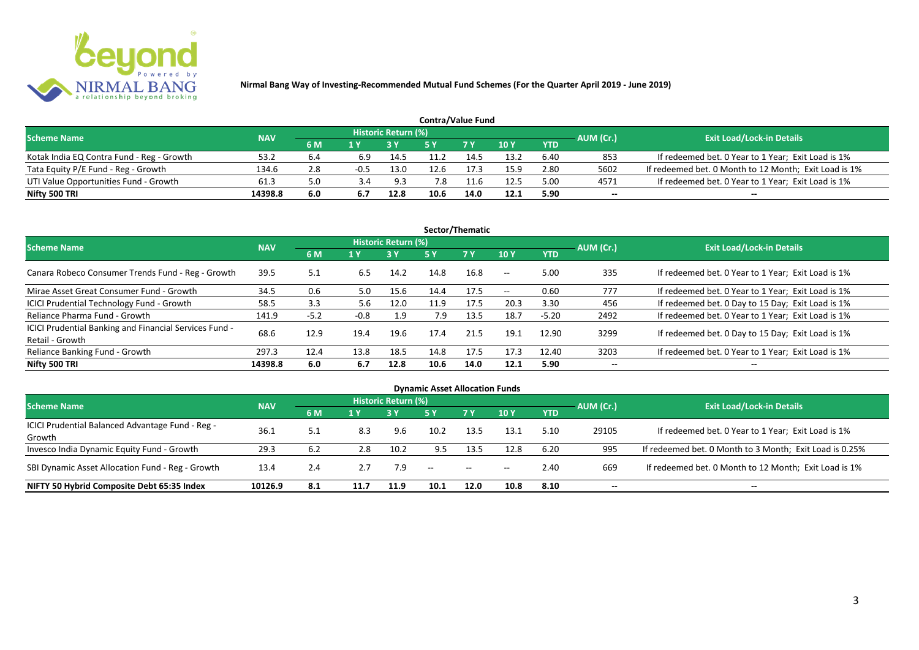

|                                           |            |     |        |                     | <b>Contra/Value Fund</b> |            |      |            |           |                                                       |
|-------------------------------------------|------------|-----|--------|---------------------|--------------------------|------------|------|------------|-----------|-------------------------------------------------------|
| <b>Scheme Name</b>                        | <b>NAV</b> |     |        | Historic Return (%) |                          |            |      |            | AUM (Cr.) | <b>Exit Load/Lock-in Details</b>                      |
|                                           |            | 6 M |        |                     |                          | <b>7 Y</b> | 10Y  | <b>YTD</b> |           |                                                       |
| Kotak India EQ Contra Fund - Reg - Growth | 53.2       | b.4 | 6.9    | 14.5                |                          | 14.5       | 13.2 | 6.40       | 853       | If redeemed bet. 0 Year to 1 Year; Exit Load is 1%    |
| Tata Equity P/E Fund - Reg - Growth       | 134.6      | 2.8 | $-0.5$ | 13.0                | 12.6                     | 17.3       | 15.9 | 2.80       | 5602      | If redeemed bet. 0 Month to 12 Month; Exit Load is 1% |
| UTI Value Opportunities Fund - Growth     | 61.3       | 5.0 |        | 9.3                 | 7.8                      | $-1.6$     | 12.5 | 5.00       | 4571      | If redeemed bet. 0 Year to 1 Year; Exit Load is 1%    |
| Nifty 500 TRI                             | 14398.8    | 6.0 |        | 12.8                | 10.6                     | 14.0       | 12.1 | 5.90       | --        | $- -$                                                 |

| Sector/Thematic                                                           |            |        |        |                            |      |           |                          |            |           |                                                    |  |  |  |
|---------------------------------------------------------------------------|------------|--------|--------|----------------------------|------|-----------|--------------------------|------------|-----------|----------------------------------------------------|--|--|--|
| <b>Scheme Name</b>                                                        | <b>NAV</b> |        |        | <b>Historic Return (%)</b> |      |           |                          |            | AUM (Cr.) | <b>Exit Load/Lock-in Details</b>                   |  |  |  |
|                                                                           |            | 6 M    | 1 Y    | <b>3 Y</b>                 | 5 Y  | <b>7Y</b> | <b>10Y</b>               | <b>YTD</b> |           |                                                    |  |  |  |
| Canara Robeco Consumer Trends Fund - Reg - Growth                         | 39.5       | 5.1    | 6.5    | 14.2                       | 14.8 | 16.8      | $\sim$ $-$               | 5.00       | 335       | If redeemed bet. 0 Year to 1 Year; Exit Load is 1% |  |  |  |
| Mirae Asset Great Consumer Fund - Growth                                  | 34.5       | 0.6    | 5.0    | 15.6                       | 14.4 | 17.5      | $\overline{\phantom{a}}$ | 0.60       | 777       | If redeemed bet. 0 Year to 1 Year; Exit Load is 1% |  |  |  |
| ICICI Prudential Technology Fund - Growth                                 | 58.5       | 3.3    | 5.6    | 12.0                       | 11.9 | 17.5      | 20.3                     | 3.30       | 456       | If redeemed bet. 0 Day to 15 Day; Exit Load is 1%  |  |  |  |
| Reliance Pharma Fund - Growth                                             | 141.9      | $-5.2$ | $-0.8$ | 1.9                        | 7.9  | 13.5      | 18.7                     | $-5.20$    | 2492      | If redeemed bet. 0 Year to 1 Year; Exit Load is 1% |  |  |  |
| ICICI Prudential Banking and Financial Services Fund -<br>Retail - Growth | 68.6       | 12.9   | 19.4   | 19.6                       | 17.4 | 21.5      | 19.1                     | 12.90      | 3299      | If redeemed bet. 0 Day to 15 Day; Exit Load is 1%  |  |  |  |
| Reliance Banking Fund - Growth                                            | 297.3      | 12.4   | 13.8   | 18.5                       | 14.8 | 17.5      | 17.3                     | 12.40      | 3203      | If redeemed bet. 0 Year to 1 Year; Exit Load is 1% |  |  |  |
| Nifty 500 TRI                                                             | 14398.8    | 6.0    | 6.7    | 12.8                       | 10.6 | 14.0      | 12.1                     | 5.90       | $- -$     | $\overline{\phantom{a}}$                           |  |  |  |

| <b>Dynamic Asset Allocation Funds</b>            |            |     |      |                            |            |           |            |            |           |                                                         |  |  |  |
|--------------------------------------------------|------------|-----|------|----------------------------|------------|-----------|------------|------------|-----------|---------------------------------------------------------|--|--|--|
| <b>Scheme Name</b>                               | <b>NAV</b> |     |      | <b>Historic Return (%)</b> |            |           |            |            |           | <b>Exit Load/Lock-in Details</b>                        |  |  |  |
|                                                  |            | 6 M | 1 Y  |                            | <b>5 Y</b> | <b>7Y</b> | <b>10Y</b> | <b>YTD</b> | AUM (Cr.) |                                                         |  |  |  |
| ICICI Prudential Balanced Advantage Fund - Reg - | 36.1       |     | 8.3  | 9.6                        | 10.2       |           |            |            |           |                                                         |  |  |  |
| Growth                                           |            | 5.1 |      |                            |            | 13.5      | 13.1       | 5.10       | 29105     | If redeemed bet. 0 Year to 1 Year; Exit Load is 1%      |  |  |  |
| Invesco India Dynamic Equity Fund - Growth       | 29.3       | 6.2 | 2.8  | 10.2                       | 9.5        | 13.5      | 12.8       | 6.20       | 995       | If redeemed bet. 0 Month to 3 Month; Exit Load is 0.25% |  |  |  |
| SBI Dynamic Asset Allocation Fund - Reg - Growth | 13.4       | 2.4 |      | 7.9                        | $\sim$     | $\sim$    | $- -$      | 2.40       | 669       | If redeemed bet. 0 Month to 12 Month; Exit Load is 1%   |  |  |  |
| NIFTY 50 Hybrid Composite Debt 65:35 Index       | 10126.9    | 8.1 | 11.7 | 11.9                       | 10.1       | 12.0      | 10.8       | 8.10       | --        | $- -$                                                   |  |  |  |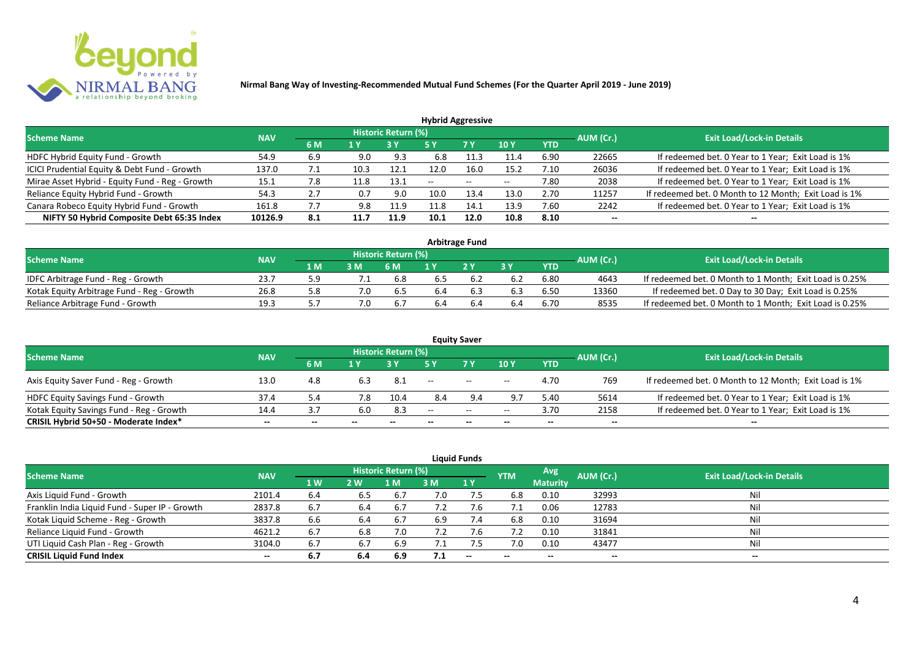

| <b>Hybrid Aggressive</b>                        |            |     |      |                     |       |        |            |            |           |                                                       |  |  |  |
|-------------------------------------------------|------------|-----|------|---------------------|-------|--------|------------|------------|-----------|-------------------------------------------------------|--|--|--|
| <b>Scheme Name</b>                              | <b>NAV</b> |     |      | Historic Return (%) |       |        |            |            | AUM (Cr.) | <b>Exit Load/Lock-in Details</b>                      |  |  |  |
|                                                 |            | 6 M | 1 Y  |                     | 5 Y   | 7 Y    | <b>10Y</b> | <b>YTD</b> |           |                                                       |  |  |  |
| HDFC Hybrid Equity Fund - Growth                | 54.9       | 6.9 | 9.0  | 9.3                 | 6.8   | 11.3   | 11.4       | 6.90       | 22665     | If redeemed bet. 0 Year to 1 Year; Exit Load is 1%    |  |  |  |
| ICICI Prudential Equity & Debt Fund - Growth    | 137.0      | 7.1 | 10.3 | 12.1                | 12.0  | 16.0   | 15.2       | 7.10       | 26036     | If redeemed bet. 0 Year to 1 Year; Exit Load is 1%    |  |  |  |
| Mirae Asset Hybrid - Equity Fund - Reg - Growth | 15.1       | 7.8 | 11.8 | 13.1                | $- -$ | $\sim$ | $- -$      | 7.80       | 2038      | If redeemed bet. 0 Year to 1 Year; Exit Load is 1%    |  |  |  |
| Reliance Equity Hybrid Fund - Growth            | 54.3       | 2.7 | 0.7  | 9.0                 | 10.0  | 13.4   | 13.0       | 2.70       | 11257     | If redeemed bet. 0 Month to 12 Month; Exit Load is 1% |  |  |  |
| Canara Robeco Equity Hybrid Fund - Growth       | 161.8      | 7.7 | 9.8  | 11.9                | 11.8  | 14.1   | 13.9       | 7.60       | 2242      | If redeemed bet. 0 Year to 1 Year; Exit Load is 1%    |  |  |  |
| NIFTY 50 Hybrid Composite Debt 65:35 Index      | 10126.9    | 8.1 | 11.7 | 11.9                | 10.1  | 12.0   | 10.8       | 8.10       | $- -$     |                                                       |  |  |  |
|                                                 |            |     |      |                     |       |        |            |            |           |                                                       |  |  |  |

| <b>Arbitrage Fund</b>                      |            |      |  |                            |     |    |     |            |           |                                                         |  |  |  |
|--------------------------------------------|------------|------|--|----------------------------|-----|----|-----|------------|-----------|---------------------------------------------------------|--|--|--|
| <b>Scheme Name</b>                         | <b>NAV</b> |      |  | <b>Historic Return (%)</b> |     |    |     |            | AUM (Cr.) | <b>Exit Load/Lock-in Details</b>                        |  |  |  |
|                                            |            | 1 M. |  | 6 M                        |     | 2V |     | <b>YTD</b> |           |                                                         |  |  |  |
| IDFC Arbitrage Fund - Reg - Growth         | 23.7       |      |  | 6.8                        | 6.5 |    | 6.2 | 6.80       | 4643      | If redeemed bet. 0 Month to 1 Month; Exit Load is 0.25% |  |  |  |
| Kotak Equity Arbitrage Fund - Reg - Growth | 26.8       |      |  | b.5                        | 6.4 |    | 6.3 | 6.50       | 13360     | If redeemed bet. 0 Day to 30 Day; Exit Load is 0.25%    |  |  |  |
| Reliance Arbitrage Fund - Growth           | 19.3       |      |  |                            | 6.4 |    | 6.4 | 6.70       | 8535      | If redeemed bet. 0 Month to 1 Month; Exit Load is 0.25% |  |  |  |

|                                          |            |       |       |                     |                          | <b>Equity Saver</b> |                          |            |                          |                                                       |
|------------------------------------------|------------|-------|-------|---------------------|--------------------------|---------------------|--------------------------|------------|--------------------------|-------------------------------------------------------|
| <b>Scheme Name</b>                       | <b>NAV</b> |       |       | Historic Return (%) |                          |                     |                          |            |                          | <b>Exit Load/Lock-in Details</b>                      |
|                                          |            | 6 M   |       |                     |                          | <b>7 Y</b>          | <b>10Y</b>               | <b>YTD</b> | AUM (Cr.)                |                                                       |
| Axis Equity Saver Fund - Reg - Growth    | 13.0       | 4.8   | 6.3   | - 8.1               | $\overline{\phantom{a}}$ | $\sim$              | $- -$                    | 4.70       | 769                      | If redeemed bet. 0 Month to 12 Month; Exit Load is 1% |
| HDFC Equity Savings Fund - Growth        | 37.4       |       | 7.8   | 10.4                | 8.4                      |                     |                          | 5.40       | 5614                     | If redeemed bet. 0 Year to 1 Year; Exit Load is 1%    |
| Kotak Equity Savings Fund - Reg - Growth | 14.4       |       | 6.0   | 8.3                 | --                       | $\sim$ $\sim$       | $- -$                    | 3.70       | 2158                     | If redeemed bet. 0 Year to 1 Year; Exit Load is 1%    |
| CRISIL Hybrid 50+50 - Moderate Index*    | $- -$      | $- -$ | $- -$ | $- -$               |                          | $- -$               | $\overline{\phantom{a}}$ | $- -$      | $\overline{\phantom{a}}$ | $- -$                                                 |

| <b>Liquid Funds</b>                            |            |           |     |                            |     |           |            |                 |           |                                  |  |  |  |
|------------------------------------------------|------------|-----------|-----|----------------------------|-----|-----------|------------|-----------------|-----------|----------------------------------|--|--|--|
| <b>Scheme Name</b>                             | <b>NAV</b> |           |     | <b>Historic Return (%)</b> |     |           | <b>YTM</b> | Avg             | AUM (Cr.) | <b>Exit Load/Lock-in Details</b> |  |  |  |
|                                                |            | <b>1W</b> | 2W  | 1 M                        | 3 M | <b>1Y</b> |            | <b>Maturity</b> |           |                                  |  |  |  |
| Axis Liquid Fund - Growth                      | 2101.4     | 6.4       | 6.5 | 6.7                        | 7.0 | 7.5       | 6.8        | 0.10            | 32993     | Nil                              |  |  |  |
| Franklin India Liquid Fund - Super IP - Growth | 2837.8     | 6.7       | 6.4 | 6.7                        | 7.2 | 7.Ь       |            | 0.06            | 12783     | Nil                              |  |  |  |
| Kotak Liquid Scheme - Reg - Growth             | 3837.8     | 6.6       | 6.4 | 6.7                        | 6.9 | 7.4       | 6.8        | 0.10            | 31694     | Nil                              |  |  |  |
| Reliance Liquid Fund - Growth                  | 4621.2     | 6.7       | 6.8 | 7.0                        | 7.2 | 7.b       |            | 0.10            | 31841     | Nil                              |  |  |  |
| UTI Liquid Cash Plan - Reg - Growth            | 3104.0     | 6.7       | 6.7 | 6.9                        | 7.1 |           | 7.0        | 0.10            | 43477     | Nil                              |  |  |  |
| <b>CRISIL Liquid Fund Index</b>                | $- -$      | 6.7       | 6.4 | 6.9                        | 7.1 | $- -$     | $- -$      | $- -$           | $- -$     | $\sim$                           |  |  |  |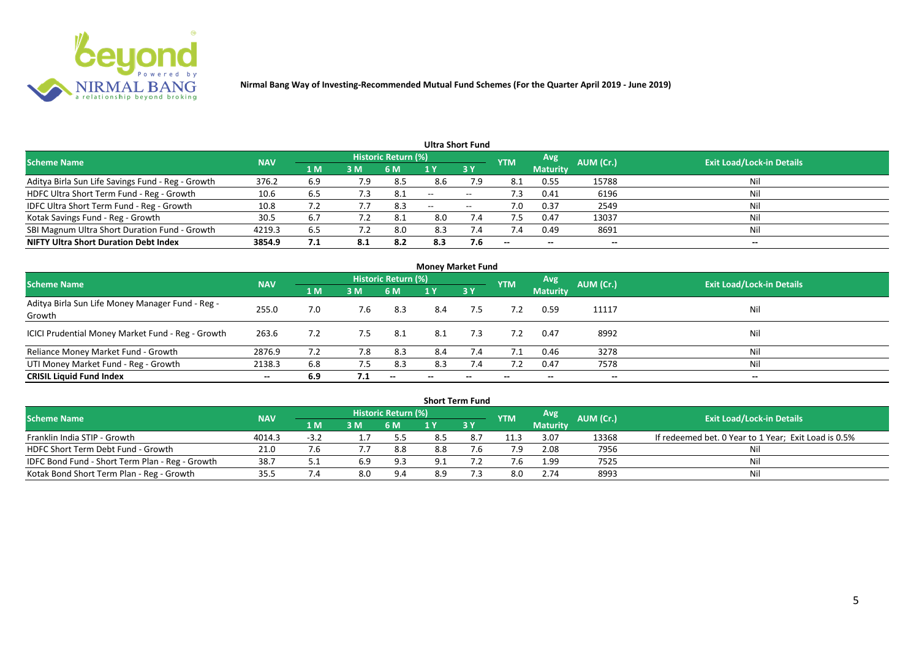

|                                                   |            |                |             |                            |                          | <b>Ultra Short Fund</b>  |            |                 |           |                                  |
|---------------------------------------------------|------------|----------------|-------------|----------------------------|--------------------------|--------------------------|------------|-----------------|-----------|----------------------------------|
| <b>Scheme Name</b>                                | <b>NAV</b> |                |             | <b>Historic Return (%)</b> |                          |                          | <b>YTM</b> | Avg             | AUM (Cr.) | <b>Exit Load/Lock-in Details</b> |
|                                                   |            | 1 <sub>M</sub> | 3 M         | 6 M                        |                          | 3Y                       |            | <b>Maturity</b> |           |                                  |
| Aditya Birla Sun Life Savings Fund - Reg - Growth | 376.2      | 6.9            | 7.9         | 8.5                        | 8.6                      | 7.9                      | 8.1        | 0.55            | 15788     | Nil                              |
| HDFC Ultra Short Term Fund - Reg - Growth         | 10.6       | 6.5            | $\sqrt{.3}$ | -8.1                       | $\overline{\phantom{a}}$ | $\overline{\phantom{a}}$ | 7.3        | 0.41            | 6196      | Nil                              |
| IDFC Ultra Short Term Fund - Reg - Growth         | 10.8       |                |             | 8.3                        | $- -$                    | $\overline{\phantom{a}}$ | 7.0        | 0.37            | 2549      | Nil                              |
| Kotak Savings Fund - Reg - Growth                 | 30.5       | 6.7            | 7.2         | 8.1                        | 8.0                      | 7.4                      | 7.5        | 0.47            | 13037     | Nil                              |
| SBI Magnum Ultra Short Duration Fund - Growth     | 4219.3     | 6.5            |             | 8.0                        | 8.3                      | 7.4                      | 7.4        | 0.49            | 8691      | Nil                              |
| <b>NIFTY Ultra Short Duration Debt Index</b>      | 3854.9     | 7.1            | 8.1         | 8.2                        | 8.3                      | 7.6                      | $- -$      | $- -$           | --        | $- -$                            |

| <b>Money Market Fund</b>                                   |            |     |     |                          |     |     |            |                 |           |                                  |  |  |  |
|------------------------------------------------------------|------------|-----|-----|--------------------------|-----|-----|------------|-----------------|-----------|----------------------------------|--|--|--|
| <b>Scheme Name</b>                                         | <b>NAV</b> |     |     | Historic Return (%)      |     |     | <b>YTM</b> | Avg             | AUM (Cr.) | <b>Exit Load/Lock-in Details</b> |  |  |  |
|                                                            |            | 1 M | 3 M | 6 M                      | 1 Y | 3Y  |            | <b>Maturity</b> |           |                                  |  |  |  |
| Aditya Birla Sun Life Money Manager Fund - Reg -<br>Growth | 255.0      | 7.0 | 7.6 | 8.3                      | 8.4 | 7.5 | 7.2        | 0.59            | 11117     | Nil                              |  |  |  |
| ICICI Prudential Money Market Fund - Reg - Growth          | 263.6      | 7.2 | 7.5 | 8.1                      | 8.1 | 7.3 | 7.2        | 0.47            | 8992      | Nil                              |  |  |  |
| Reliance Money Market Fund - Growth                        | 2876.9     | 7.2 | 7.8 | 8.3                      | 8.4 | 7.4 | 7.1        | 0.46            | 3278      | Nil                              |  |  |  |
| UTI Money Market Fund - Reg - Growth                       | 2138.3     | 6.8 | 7.5 | 8.3                      | 8.3 | 7.4 | 7.2        | 0.47            | 7578      | Nil                              |  |  |  |
| <b>CRISIL Liquid Fund Index</b>                            | $- -$      | 6.9 | 7.1 | $\overline{\phantom{a}}$ |     | --  |            | --              | $- -$     | $- -$                            |  |  |  |

|                                                 |            |        |     |                            |     | <b>Short Term Fund</b> |            |                 |           |                                                      |
|-------------------------------------------------|------------|--------|-----|----------------------------|-----|------------------------|------------|-----------------|-----------|------------------------------------------------------|
| <b>Scheme Name</b>                              | <b>NAV</b> |        |     | <b>Historic Return (%)</b> |     |                        | <b>YTM</b> | <b>Avg</b>      | AUM (Cr.) | <b>Exit Load/Lock-in Details</b>                     |
|                                                 |            | 4 MZ   | 3M  | '6 M                       |     | 73 Y                   |            | <b>Maturity</b> |           |                                                      |
| Franklin India STIP - Growth                    | 4014.3     | $-3.2$ |     | 5.5                        |     |                        | 11.3       | 3.07            | 13368     | If redeemed bet. 0 Year to 1 Year; Exit Load is 0.5% |
| HDFC Short Term Debt Fund - Growth              | 21.0       |        |     | 8.8                        | 8.8 |                        | 7.9        | 2.08            | 7956      | Ni                                                   |
| IDFC Bond Fund - Short Term Plan - Reg - Growth | 38.7       |        | 6.9 | 9.3                        | Q 1 |                        |            | 1.99            | 7525      | Nil                                                  |
| Kotak Bond Short Term Plan - Reg - Growth       | 35.5       |        | 8.0 | 9.4                        | 8.9 |                        | 8.0        | 2.74            | 8993      | Nil                                                  |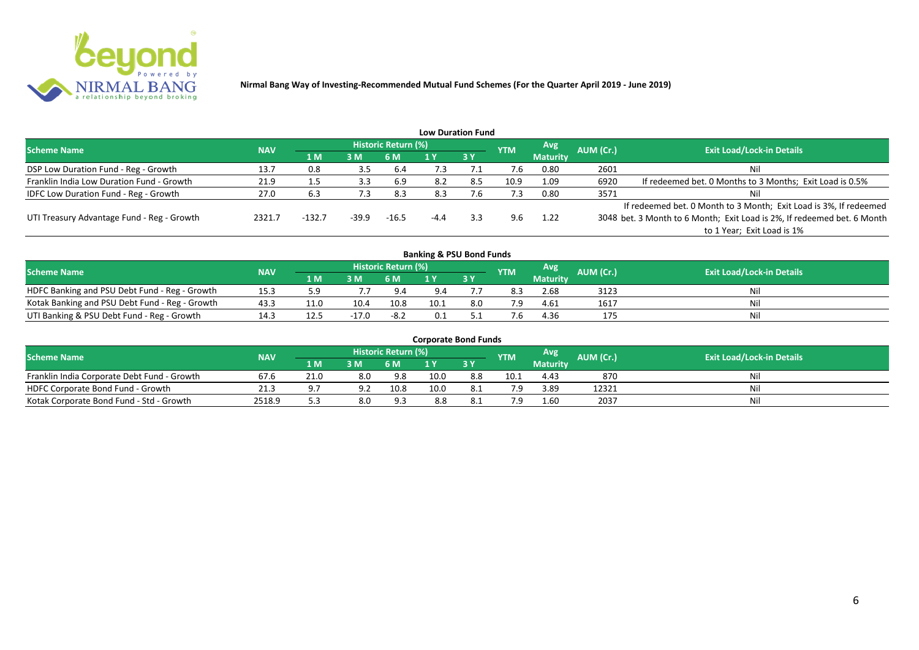

|                                              |            |          |       |                     |        | <b>Low Duration Fund</b> |            |                 |           |                                                                         |
|----------------------------------------------|------------|----------|-------|---------------------|--------|--------------------------|------------|-----------------|-----------|-------------------------------------------------------------------------|
| <b>Scheme Name</b>                           | <b>NAV</b> |          |       | Historic Return (%) |        |                          | <b>YTM</b> | Avg             | AUM (Cr.) | <b>Exit Load/Lock-in Details</b>                                        |
|                                              |            | 1 M      | 3M    | 6 M                 |        | 3Y                       |            | <b>Maturity</b> |           |                                                                         |
| DSP Low Duration Fund - Reg - Growth         | 13.7       | 0.8      | 3.5   | 6.4                 | 7.3    |                          | 7.6        | 0.80            | 2601      | Nil                                                                     |
| Franklin India Low Duration Fund - Growth    | 21.9       | 1.5      | 3.3   | 6.9                 | 8.2    | 8.5                      | 10.9       | 1.09            | 6920      | If redeemed bet. 0 Months to 3 Months; Exit Load is 0.5%                |
| <b>IDFC Low Duration Fund - Reg - Growth</b> | 27.0       | 6.3      | 7.3   | 8.3                 | 8.3    | ∴6                       | 7.3        | 0.80            | 3571      | Nil                                                                     |
|                                              |            |          |       |                     |        |                          |            |                 |           | If redeemed bet. 0 Month to 3 Month; Exit Load is 3%, If redeemed       |
| UTI Treasury Advantage Fund - Reg - Growth   | 2321.7     | $-132.7$ | -39.9 | $-16.5$             | $-4.4$ | 3.3                      | 9.6        | 1.22            |           | 3048 bet. 3 Month to 6 Month; Exit Load is 2%, If redeemed bet. 6 Month |
|                                              |            |          |       |                     |        |                          |            |                 |           | to 1 Year; Exit Load is 1%                                              |
|                                              |            |          |       |                     |        |                          |            |                 |           |                                                                         |

| <b>Banking &amp; PSU Bond Funds</b>            |            |      |         |                     |      |     |            |                 |           |                                  |  |  |  |  |
|------------------------------------------------|------------|------|---------|---------------------|------|-----|------------|-----------------|-----------|----------------------------------|--|--|--|--|
| <b>Scheme Name</b>                             | <b>NAV</b> |      |         | Historic Return (%) |      |     | <b>YTM</b> | Avg             | AUM (Cr.) | <b>Exit Load/Lock-in Details</b> |  |  |  |  |
|                                                |            | 1 M  | 3M      | 6 M                 |      | 3Y  |            | <b>Maturity</b> |           |                                  |  |  |  |  |
| HDFC Banking and PSU Debt Fund - Reg - Growth  | 15.3       | 5 ء  |         | 9.4                 | 9.4  |     | 8.3        | 2.68            | 3123      | Nil                              |  |  |  |  |
| Kotak Banking and PSU Debt Fund - Reg - Growth | 43.3       | 11.0 | 10.4    | 10.8                | 10.1 | 8.0 |            | 4.61            | 1617      | Nil                              |  |  |  |  |
| UTI Banking & PSU Debt Fund - Reg - Growth     |            | 12.5 | $-17.0$ | $-8.2$              | 0.1  |     |            | 4.36            | 175       | Nil                              |  |  |  |  |

| <b>Corporate Bond Funds</b>                 |            |      |     |                            |      |       |            |                 |           |                                  |  |  |  |
|---------------------------------------------|------------|------|-----|----------------------------|------|-------|------------|-----------------|-----------|----------------------------------|--|--|--|
| <b>Scheme Name</b>                          | <b>NAV</b> |      |     | <b>Historic Return (%)</b> |      |       | <b>YTM</b> | Avg             | AUM (Cr.) | <b>Exit Load/Lock-in Details</b> |  |  |  |
|                                             |            | 4 MZ | 3M  | 6 M                        |      | 73 Y. |            | <b>Maturity</b> |           |                                  |  |  |  |
| Franklin India Corporate Debt Fund - Growth | 67.6       | 21.0 | 8.0 | 9.8                        | 10.0 | 8.8   | 10.1       | 4.43            | 870       | Nil                              |  |  |  |
| HDFC Corporate Bond Fund - Growth           | 21.3       |      |     | 10.8                       | 10.0 |       |            | 3.89            | 12321     | Nil                              |  |  |  |
| Kotak Corporate Bond Fund - Std - Growth    | 2518.9     | ر.ر  | 8.0 | 9.3                        | 8.8  |       |            | 1.60            | 2037      | Nil                              |  |  |  |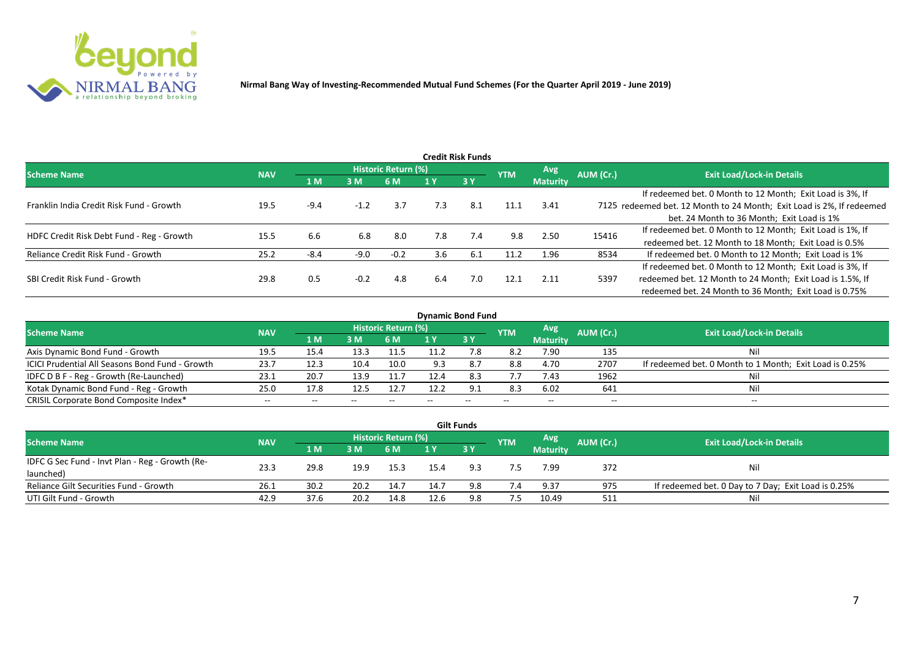

|                                           |            |        |        |                     |     | <b>Credit Risk Funds</b> |            |                 |           |                                                                       |
|-------------------------------------------|------------|--------|--------|---------------------|-----|--------------------------|------------|-----------------|-----------|-----------------------------------------------------------------------|
| <b>Scheme Name</b>                        | <b>NAV</b> |        |        | Historic Return (%) |     |                          | <b>YTM</b> | <b>Avg</b>      | AUM (Cr.) | <b>Exit Load/Lock-in Details</b>                                      |
|                                           |            | 1 M    | 3M     | 6 M                 |     | 3Y                       |            | <b>Maturity</b> |           |                                                                       |
|                                           |            |        |        |                     |     |                          |            |                 |           | If redeemed bet. 0 Month to 12 Month; Exit Load is 3%, If             |
| Franklin India Credit Risk Fund - Growth  | 19.5       | $-9.4$ | $-1.2$ | 3.7                 | 7.3 | 8.1                      | 11.1       | 3.41            |           | 7125 redeemed bet. 12 Month to 24 Month; Exit Load is 2%, If redeemed |
|                                           |            |        |        |                     |     |                          |            |                 |           | bet. 24 Month to 36 Month; Exit Load is 1%                            |
| HDFC Credit Risk Debt Fund - Reg - Growth | 15.5       |        | 6.8    | 8.0                 | 7.8 | 7.4                      | 9.8        | 2.50            | 15416     | If redeemed bet. 0 Month to 12 Month; Exit Load is 1%, If             |
|                                           |            | 6.b    |        |                     |     |                          |            |                 |           | redeemed bet. 12 Month to 18 Month; Exit Load is 0.5%                 |
| Reliance Credit Risk Fund - Growth        | 25.2       | $-8.4$ | $-9.0$ | $-0.2$              | 3.6 | 6.1                      | 11.2       | 1.96            | 8534      | If redeemed bet. 0 Month to 12 Month; Exit Load is 1%                 |
|                                           |            |        |        |                     |     |                          |            |                 |           | If redeemed bet. 0 Month to 12 Month; Exit Load is 3%, If             |
| SBI Credit Risk Fund - Growth             | 29.8       | 0.5    | $-0.2$ | 4.8                 | 6.4 | 7.0                      | 12.1       | 2.11            | 5397      | redeemed bet. 12 Month to 24 Month; Exit Load is 1.5%, If             |
|                                           |            |        |        |                     |     |                          |            |                 |           | redeemed bet. 24 Month to 36 Month; Exit Load is 0.75%                |

| <b>Dynamic Bond Fund</b>                        |            |       |       |                          |      |           |            |                          |           |                                                         |  |  |  |  |
|-------------------------------------------------|------------|-------|-------|--------------------------|------|-----------|------------|--------------------------|-----------|---------------------------------------------------------|--|--|--|--|
| <b>Scheme Name</b>                              | <b>NAV</b> |       |       | Historic Return (%)      |      |           | <b>YTM</b> | Avg                      | AUM (Cr.) | <b>Exit Load/Lock-in Details</b>                        |  |  |  |  |
|                                                 |            | 1 M   | 3M    | 6 M                      |      | <b>3Y</b> |            | <b>Maturity</b>          |           |                                                         |  |  |  |  |
| Axis Dynamic Bond Fund - Growth                 | 19.5       | 15.4  | 13.3  | 11.5                     |      |           | 8.2        | 7.90                     | 135       | Νi                                                      |  |  |  |  |
| ICICI Prudential All Seasons Bond Fund - Growth | 23.7       | 12.3  | 10.4  | 10.0                     | 9.3  |           | 8.8        | 4.70                     | 2707      | If redeemed bet. 0 Month to 1 Month; Exit Load is 0.25% |  |  |  |  |
| IDFC D B F - Reg - Growth (Re-Launched)         | 23.1       | 20.7  | 13.9  |                          | 12.4 | 8.3       | 7.7        | 7.43                     | 1962      |                                                         |  |  |  |  |
| Kotak Dynamic Bond Fund - Reg - Growth          | 25.0       | 17.8  | 12.5  | 12.7                     | 12.2 | 9.1       | 8.3        | 6.02                     | 641       | Νi                                                      |  |  |  |  |
| CRISIL Corporate Bond Composite Index*          | $- -$      | $- -$ | $- -$ | $\overline{\phantom{m}}$ |      | $- -$     |            | $\overline{\phantom{a}}$ | $- -$     | $-$                                                     |  |  |  |  |

|                                                 |            |       |      |                     |      | <b>Gilt Funds</b> |            |                 |           |                                                     |
|-------------------------------------------------|------------|-------|------|---------------------|------|-------------------|------------|-----------------|-----------|-----------------------------------------------------|
| <b>Scheme Name</b>                              | <b>NAV</b> |       |      | Historic Return (%) |      |                   | <b>YTM</b> | <b>Avg</b>      | AUM (Cr.) | <b>Exit Load/Lock-in Details</b>                    |
|                                                 |            | 4 M / | 3M   | 6 M                 |      | $-3V$             |            | <b>Maturity</b> |           |                                                     |
| IDFC G Sec Fund - Invt Plan - Reg - Growth (Re- | 23.3       | 29.8  |      | 15.3                |      | 9.3               |            | 7.99            | 372       |                                                     |
| launched)                                       |            |       | 19.9 |                     | 15.4 |                   |            |                 |           | Nil                                                 |
| Reliance Gilt Securities Fund - Growth          | 26.1       | 30.2  | 20.2 | 14.7                | 14.7 | 9.8               | 7.4        | 9.37            | 975       | If redeemed bet. 0 Day to 7 Day; Exit Load is 0.25% |
| UTI Gilt Fund - Growth                          | 42.9       | 37.6  | 20.2 | 14.8                | 12.6 | 9.8               | 7.5        | 10.49           | 511       | Nil                                                 |